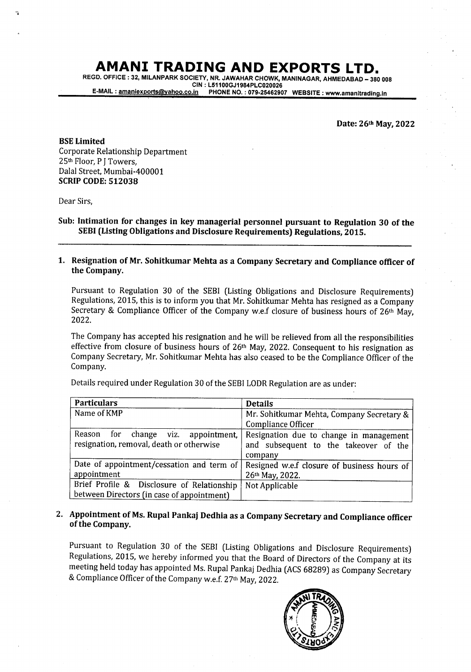## AMANI TRADING AND EXPORTS LTD.

REGD. OFFICE : 32, MILANPARK SOCIETY, NR. JAWAHAR CHOWK, MANINAGAR, AHMEDABAD - 380 008<br>CIN : L51100GJ1984PLC020026 E-MAIL: amaniexports@yahoo.co.in PHONE NO.: 079-25462907 WEBSITE: www.amanitrading.in

Date:26th May,2022

BSE Limited Corporate Relationship Department 25th Floor, PJ Towers, Dalal Street, Mumbai-400001 **SCRIP CODE: 512038** 

Dear Sirs,

Sub: Intimation for changes in key managerial personnel pursuant to Regulation 30 of the SEBI (Listing Obligations and Disclosure Requirements) Regulations, 2015.

l. Resignation of Mr. Sohitkumar Mehta as a Company Secretary and Compliance officer of the Company.

Pursuant to Regulation 30 of the SEBI (Listing Obligations and Disclosure Requirements) Regulations, 2015, this is to inform you that Mr. Sohitkumar Mehta has resigned as a Company Secretary & Compliance Officer of the Company w.e.f closure of business hours of  $26th$  May. 2022.

The Company has accepted his resignation and he will be relieved from all the responsibilities effective from closure of business hours of 26<sup>th</sup> May, 2022. Consequent to his resignation as Company Secretary, Mr. Sohitkumar Mehta has also ceased to be the Compliance Officer of the Company.

| Details required under Regulation 30 of the SEBI LODR Regulation are as under: |  |
|--------------------------------------------------------------------------------|--|
|--------------------------------------------------------------------------------|--|

| <b>Particulars</b>                         | <b>Details</b>                              |
|--------------------------------------------|---------------------------------------------|
| Name of KMP                                | Mr. Sohitkumar Mehta, Company Secretary &   |
|                                            | Compliance Officer                          |
| Reason<br>for change viz. appointment,     | Resignation due to change in management     |
| resignation, removal, death or otherwise   | and subsequent to the takeover of the       |
|                                            | company                                     |
| Date of appointment/cessation and term of  | Resigned w.e.f closure of business hours of |
| appointment                                | 26th May, 2022.                             |
| Brief Profile & Disclosure of Relationship | Not Applicable                              |
| between Directors (in case of appointment) |                                             |

## 2- Appointment of Ms. Rupal Pankaj Dedhia as a Company Secretary and Compliance officer of the Company.

Pursuant to Regulation 30 of the SEBI (Listing Obligations and Disclosure Requirements) Regulations, 2015, we hereby informed you that the Board of Directors of the Company at its meeting held today has appointed Ms. Rupal Pankaj Dedhia (ACS 68289) as Company Secretary & Compliance Officer of the Company w.e.f. 27<sup>th</sup> May, 2022.